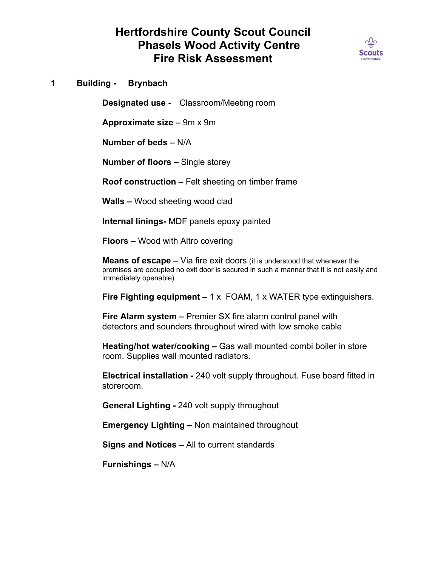## **Hertfordshire County Scout Council Phasels Wood Activity Centre Fire Risk Assessment**



**1 Building - Brynbach**

**Designated use -** Classroom/Meeting room

**Approximate size –** 9m x 9m

**Number of beds –** N/A

**Number of floors –** Single storey

**Roof construction –** Felt sheeting on timber frame

**Walls –** Wood sheeting wood clad

**Internal linings-** MDF panels epoxy painted

**Floors –** Wood with Altro covering

**Means of escape –** Via fire exit doors (it is understood that whenever the premises are occupied no exit door is secured in such a manner that it is not easily and immediately openable)

**Fire Fighting equipment –** 1 x FOAM, 1 x WATER type extinguishers.

**Fire Alarm system –** Premier SX fire alarm control panel with detectors and sounders throughout wired with low smoke cable

**Heating/hot water/cooking –** Gas wall mounted combi boiler in store room. Supplies wall mounted radiators.

**Electrical installation -** 240 volt supply throughout. Fuse board fitted in storeroom.

**General Lighting -** 240 volt supply throughout

**Emergency Lighting –** Non maintained throughout

**Signs and Notices –** All to current standards

**Furnishings –** N/A